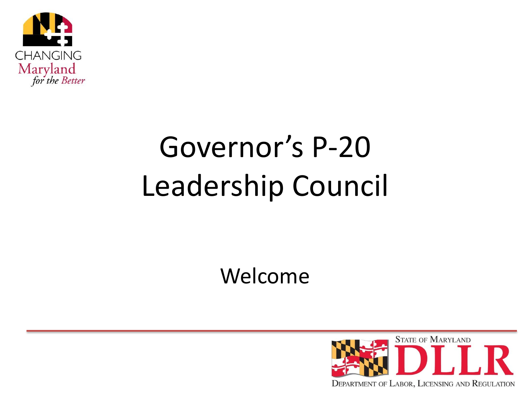

## Governor's P-20 Leadership Council

Welcome

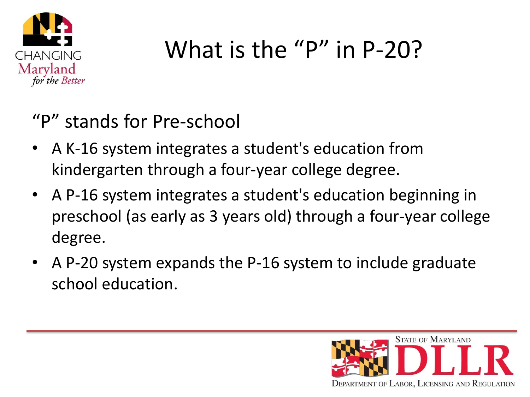

### What is the "P" in P-20?

"P" stands for Pre-school

- A K-16 system integrates a student's education from kindergarten through a four-year college degree.
- A P-16 system integrates a student's education beginning in preschool (as early as 3 years old) through a four-year college degree.
- A P-20 system expands the P-16 system to include graduate school education.

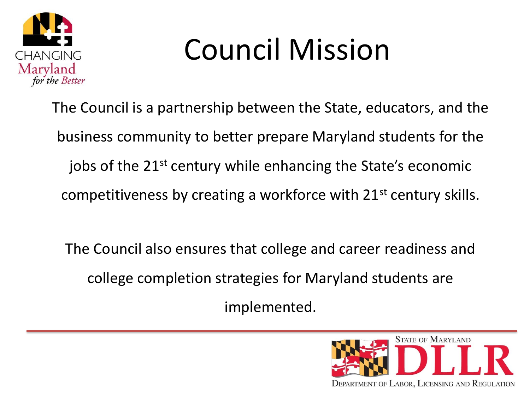

## Council Mission

The Council is a partnership between the State, educators, and the business community to better prepare Maryland students for the jobs of the 21<sup>st</sup> century while enhancing the State's economic competitiveness by creating a workforce with 21st century skills.

The Council also ensures that college and career readiness and college completion strategies for Maryland students are implemented.

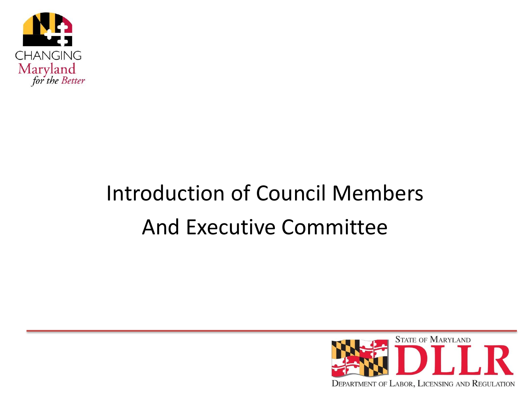

### Introduction of Council Members And Executive Committee

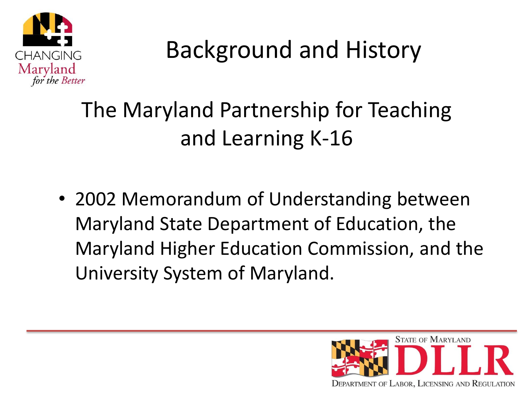

#### The Maryland Partnership for Teaching and Learning K-16

• 2002 Memorandum of Understanding between Maryland State Department of Education, the Maryland Higher Education Commission, and the University System of Maryland.

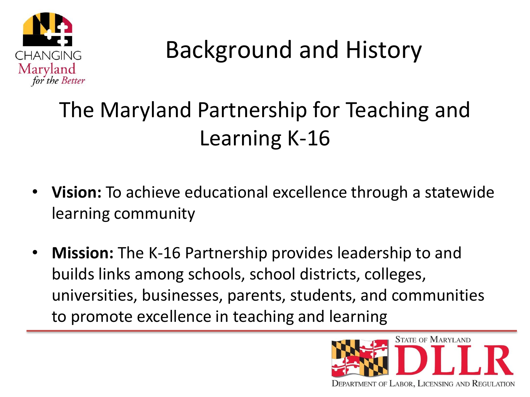

#### The Maryland Partnership for Teaching and Learning K-16

- **Vision:** To achieve educational excellence through a statewide learning community
- **Mission:** The K-16 Partnership provides leadership to and builds links among schools, school districts, colleges, universities, businesses, parents, students, and communities to promote excellence in teaching and learning

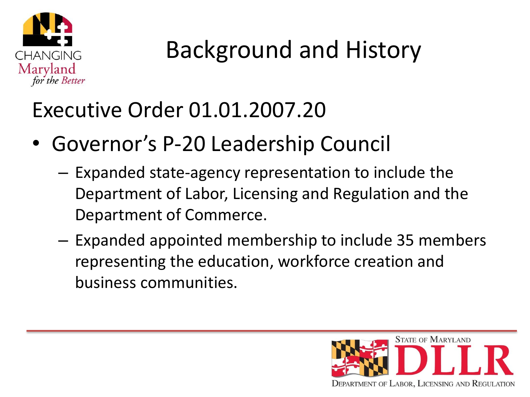

#### Executive Order 01.01.2007.20

- Governor's P-20 Leadership Council
	- Expanded state-agency representation to include the Department of Labor, Licensing and Regulation and the Department of Commerce.
	- Expanded appointed membership to include 35 members representing the education, workforce creation and business communities.

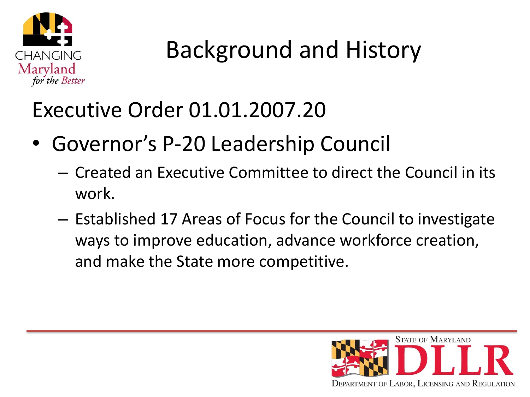

#### Executive Order 01.01.2007.20

- Governor's P-20 Leadership Council
	- Created an Executive Committee to direct the Council in its work.
	- Established 17 Areas of Focus for the Council to investigate ways to improve education, advance workforce creation, and make the State more competitive.

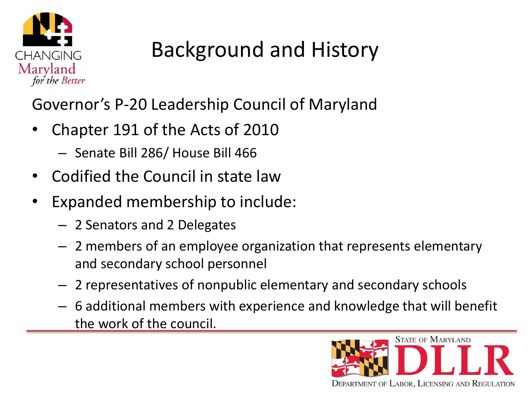

Governor's P-20 Leadership Council of Maryland

- Chapter 191 of the Acts of 2010
	- Senate Bill 286/ House Bill 466
- Codified the Council in state law
- Expanded membership to include:
	- 2 Senators and 2 Delegates
	- 2 members of an employee organization that represents elementary and secondary school personnel
	- 2 representatives of nonpublic elementary and secondary schools
	- 6 additional members with experience and knowledge that will benefit the work of the council.

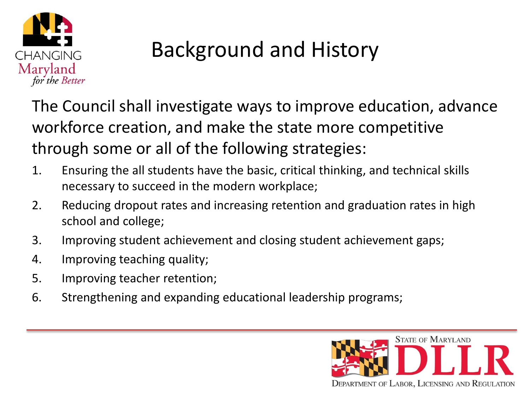

The Council shall investigate ways to improve education, advance workforce creation, and make the state more competitive through some or all of the following strategies:

- 1. Ensuring the all students have the basic, critical thinking, and technical skills necessary to succeed in the modern workplace;
- 2. Reducing dropout rates and increasing retention and graduation rates in high school and college;
- 3. Improving student achievement and closing student achievement gaps;
- 4. Improving teaching quality;
- 5. Improving teacher retention;
- 6. Strengthening and expanding educational leadership programs;

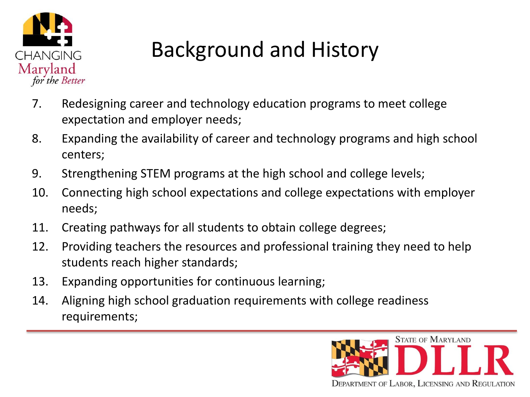

- 7. Redesigning career and technology education programs to meet college expectation and employer needs;
- 8. Expanding the availability of career and technology programs and high school centers;
- 9. Strengthening STEM programs at the high school and college levels;
- 10. Connecting high school expectations and college expectations with employer needs;
- 11. Creating pathways for all students to obtain college degrees;
- 12. Providing teachers the resources and professional training they need to help students reach higher standards;
- 13. Expanding opportunities for continuous learning;
- 14. Aligning high school graduation requirements with college readiness requirements;

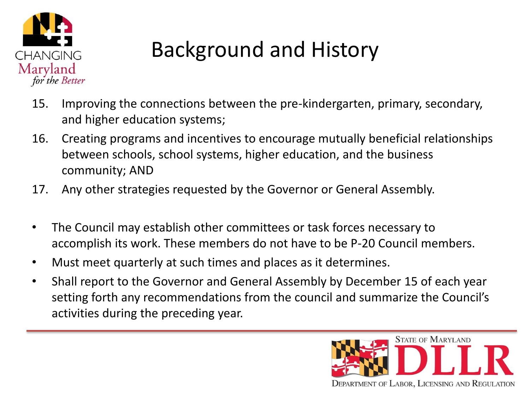

- 15. Improving the connections between the pre-kindergarten, primary, secondary, and higher education systems;
- 16. Creating programs and incentives to encourage mutually beneficial relationships between schools, school systems, higher education, and the business community; AND
- 17. Any other strategies requested by the Governor or General Assembly.
- The Council may establish other committees or task forces necessary to accomplish its work. These members do not have to be P-20 Council members.
- Must meet quarterly at such times and places as it determines.
- Shall report to the Governor and General Assembly by December 15 of each year setting forth any recommendations from the council and summarize the Council's activities during the preceding year.

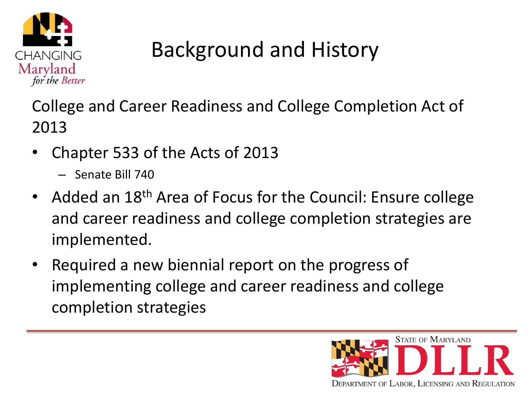

College and Career Readiness and College Completion Act of 2013

- Chapter 533 of the Acts of 2013
	- Senate Bill 740
- Added an 18<sup>th</sup> Area of Focus for the Council: Ensure college and career readiness and college completion strategies are implemented.
- Required a new biennial report on the progress of implementing college and career readiness and college completion strategies

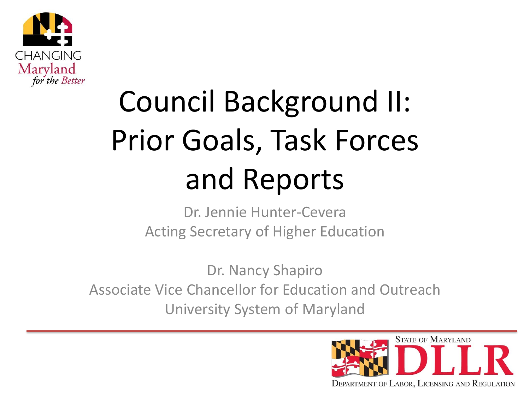

# Council Background II: Prior Goals, Task Forces and Reports

Dr. Jennie Hunter-Cevera Acting Secretary of Higher Education

Dr. Nancy Shapiro Associate Vice Chancellor for Education and Outreach University System of Maryland

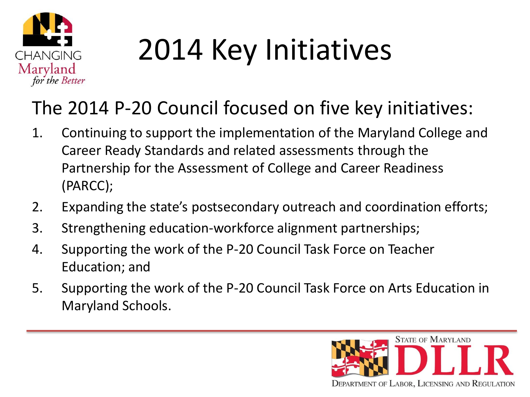

# 2014 Key Initiatives

#### The 2014 P-20 Council focused on five key initiatives:

- 1. Continuing to support the implementation of the Maryland College and Career Ready Standards and related assessments through the Partnership for the Assessment of College and Career Readiness (PARCC);
- 2. Expanding the state's postsecondary outreach and coordination efforts;
- 3. Strengthening education-workforce alignment partnerships;
- 4. Supporting the work of the P-20 Council Task Force on Teacher Education; and
- 5. Supporting the work of the P-20 Council Task Force on Arts Education in Maryland Schools.

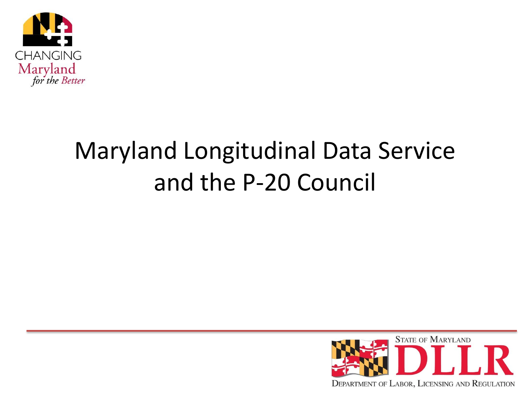

### Maryland Longitudinal Data Service and the P-20 Council

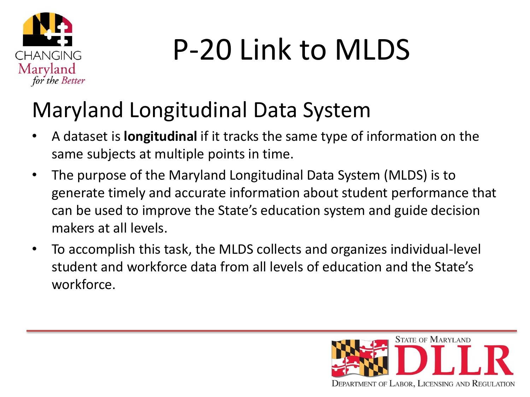

## P-20 Link to MLDS

#### Maryland Longitudinal Data System

- A dataset is **longitudinal** if it tracks the same type of information on the same subjects at multiple points in time.
- The purpose of the Maryland Longitudinal Data System (MLDS) is to generate timely and accurate information about student performance that can be used to improve the State's education system and guide decision makers at all levels.
- To accomplish this task, the MLDS collects and organizes individual-level student and workforce data from all levels of education and the State's workforce.

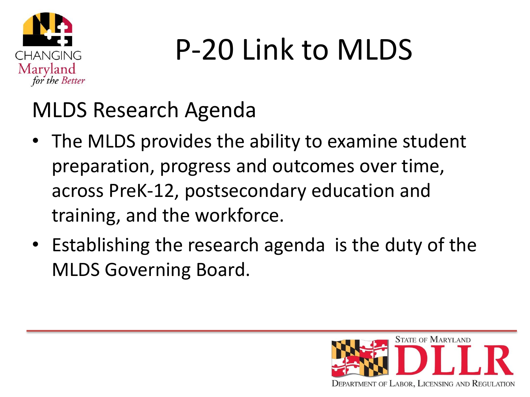

## P-20 Link to MLDS

#### MLDS Research Agenda

- The MLDS provides the ability to examine student preparation, progress and outcomes over time, across PreK-12, postsecondary education and training, and the workforce.
- Establishing the research agenda is the duty of the MLDS Governing Board.

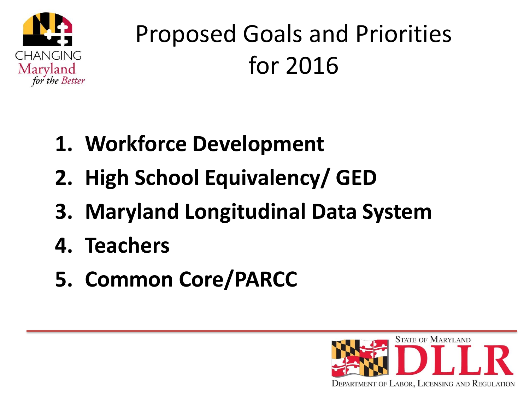

### Proposed Goals and Priorities for 2016

- **1. Workforce Development**
- **2. High School Equivalency/ GED**
- **3. Maryland Longitudinal Data System**
- **4. Teachers**
- **5. Common Core/PARCC**

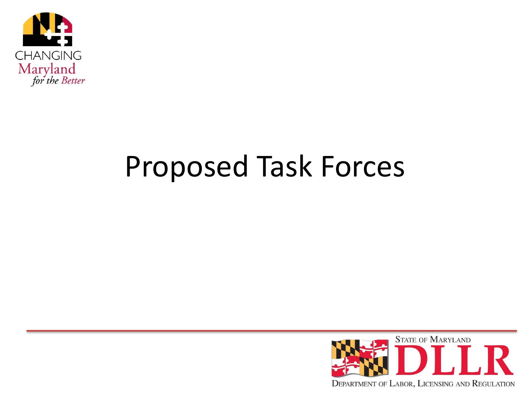

### Proposed Task Forces

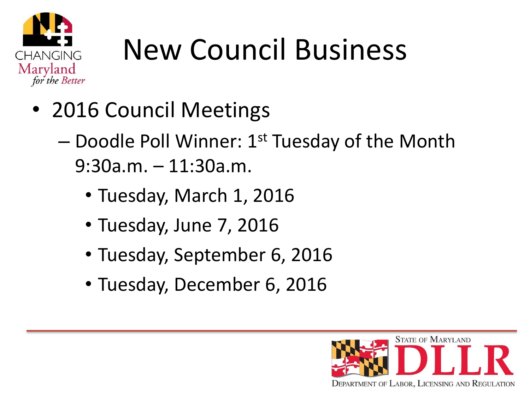

## New Council Business

- 2016 Council Meetings
	- $-$  Doodle Poll Winner: 1st Tuesday of the Month 9:30a.m. – 11:30a.m.
		- Tuesday, March 1, 2016
		- Tuesday, June 7, 2016
		- Tuesday, September 6, 2016
		- Tuesday, December 6, 2016